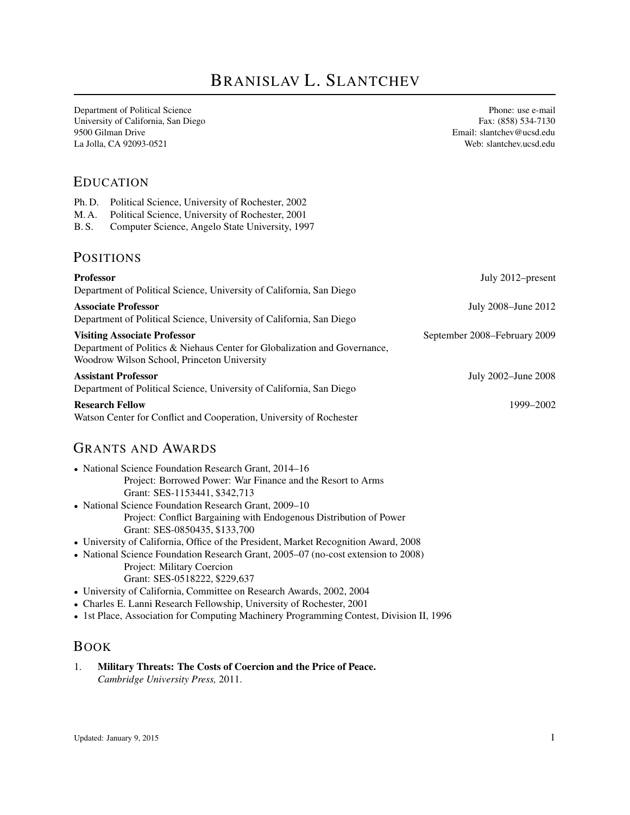# BRANISLAV L. SLANTCHEV

Department of Political Science Phone: use e-mail University of California, San Diego Fax: (858) 534-7130 9500 Gilman Drive Email: slantchev@ucsd.edu La Jolla, CA 92093-0521 Web: slantchev.ucsd.edu

#### EDUCATION

| Ph.D.                               | Political Science, University of Rochester, 2002                                                                         |                              |
|-------------------------------------|--------------------------------------------------------------------------------------------------------------------------|------------------------------|
| M. A.                               | Political Science, University of Rochester, 2001                                                                         |                              |
| <b>B.S.</b>                         | Computer Science, Angelo State University, 1997                                                                          |                              |
|                                     | <b>POSITIONS</b>                                                                                                         |                              |
| <b>Professor</b>                    |                                                                                                                          | July 2012–present            |
|                                     | Department of Political Science, University of California, San Diego                                                     |                              |
| <b>Associate Professor</b>          |                                                                                                                          | July 2008-June 2012          |
|                                     | Department of Political Science, University of California, San Diego                                                     |                              |
| <b>Visiting Associate Professor</b> |                                                                                                                          | September 2008-February 2009 |
|                                     | Department of Politics & Niehaus Center for Globalization and Governance,<br>Woodrow Wilson School, Princeton University |                              |
| <b>Assistant Professor</b>          |                                                                                                                          | July 2002–June 2008          |
|                                     | Department of Political Science, University of California, San Diego                                                     |                              |
| <b>Research Fellow</b>              |                                                                                                                          | 1999-2002                    |
|                                     | Watson Center for Conflict and Cooperation, University of Rochester                                                      |                              |

#### GRANTS AND AWARDS

- National Science Foundation Research Grant, 2014–16 Project: Borrowed Power: War Finance and the Resort to Arms Grant: SES-1153441, \$342,713
- National Science Foundation Research Grant, 2009–10 Project: Conflict Bargaining with Endogenous Distribution of Power Grant: SES-0850435, \$133,700
- University of California, Office of the President, Market Recognition Award, 2008
- National Science Foundation Research Grant, 2005–07 (no-cost extension to 2008) Project: Military Coercion
	- Grant: SES-0518222, \$229,637
- University of California, Committee on Research Awards, 2002, 2004
- Charles E. Lanni Research Fellowship, University of Rochester, 2001
- 1st Place, Association for Computing Machinery Programming Contest, Division II, 1996

#### BOOK

1. **Military Threats: The Costs of Coercion and the Price of Peace.** *Cambridge University Press,* 2011.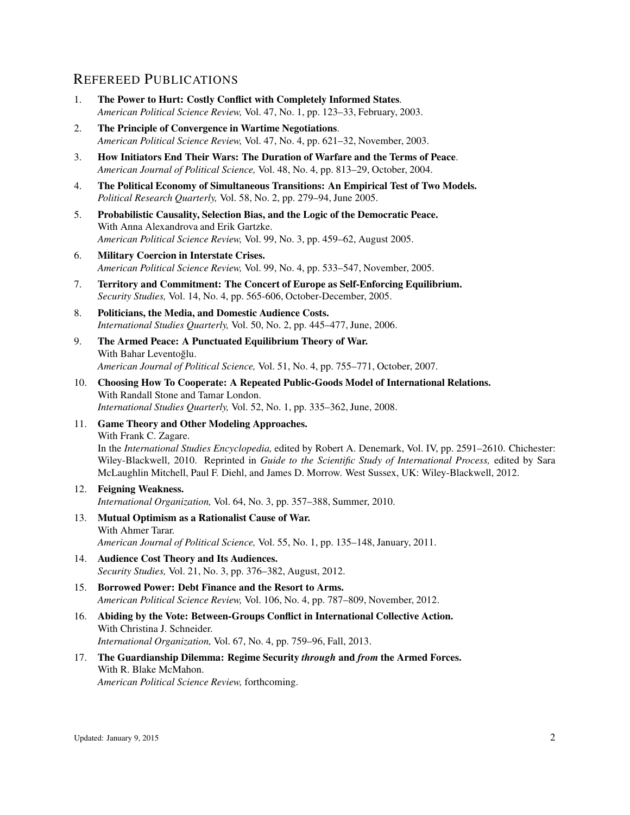# REFEREED PUBLICATIONS

- 1. **The Power to Hurt: Costly Conflict with Completely Informed States**. *American Political Science Review,* Vol. 47, No. 1, pp. 123–33, February, 2003.
- 2. **The Principle of Convergence in Wartime Negotiations**. *American Political Science Review,* Vol. 47, No. 4, pp. 621–32, November, 2003.
- 3. **How Initiators End Their Wars: The Duration of Warfare and the Terms of Peace**. *American Journal of Political Science,* Vol. 48, No. 4, pp. 813–29, October, 2004.
- 4. **The Political Economy of Simultaneous Transitions: An Empirical Test of Two Models.** *Political Research Quarterly,* Vol. 58, No. 2, pp. 279–94, June 2005.
- 5. **Probabilistic Causality, Selection Bias, and the Logic of the Democratic Peace.** With Anna Alexandrova and Erik Gartzke. *American Political Science Review,* Vol. 99, No. 3, pp. 459–62, August 2005.
- 6. **Military Coercion in Interstate Crises.** *American Political Science Review,* Vol. 99, No. 4, pp. 533–547, November, 2005.
- 7. **Territory and Commitment: The Concert of Europe as Self-Enforcing Equilibrium.** *Security Studies,* Vol. 14, No. 4, pp. 565-606, October-December, 2005.
- 8. **Politicians, the Media, and Domestic Audience Costs.** *International Studies Quarterly,* Vol. 50, No. 2, pp. 445–477, June, 2006.
- 9. **The Armed Peace: A Punctuated Equilibrium Theory of War.** With Bahar Leventoğlu. *American Journal of Political Science,* Vol. 51, No. 4, pp. 755–771, October, 2007.
- 10. **Choosing How To Cooperate: A Repeated Public-Goods Model of International Relations.** With Randall Stone and Tamar London. *International Studies Quarterly,* Vol. 52, No. 1, pp. 335–362, June, 2008.
- 11. **Game Theory and Other Modeling Approaches.** With Frank C. Zagare. In the *International Studies Encyclopedia,* edited by Robert A. Denemark, Vol. IV, pp. 2591–2610. Chichester: Wiley-Blackwell, 2010. Reprinted in *Guide to the Scientific Study of International Process,* edited by Sara McLaughlin Mitchell, Paul F. Diehl, and James D. Morrow. West Sussex, UK: Wiley-Blackwell, 2012.
- 12. **Feigning Weakness.** *International Organization,* Vol. 64, No. 3, pp. 357–388, Summer, 2010.
- 13. **Mutual Optimism as a Rationalist Cause of War.** With Ahmer Tarar. *American Journal of Political Science,* Vol. 55, No. 1, pp. 135–148, January, 2011.
- 14. **Audience Cost Theory and Its Audiences.** *Security Studies,* Vol. 21, No. 3, pp. 376–382, August, 2012.
- 15. **Borrowed Power: Debt Finance and the Resort to Arms.** *American Political Science Review,* Vol. 106, No. 4, pp. 787–809, November, 2012.
- 16. **Abiding by the Vote: Between-Groups Conflict in International Collective Action.** With Christina J. Schneider. *International Organization,* Vol. 67, No. 4, pp. 759–96, Fall, 2013.
- 17. **The Guardianship Dilemma: Regime Security** *through* **and** *from* **the Armed Forces.** With R. Blake McMahon. *American Political Science Review,* forthcoming.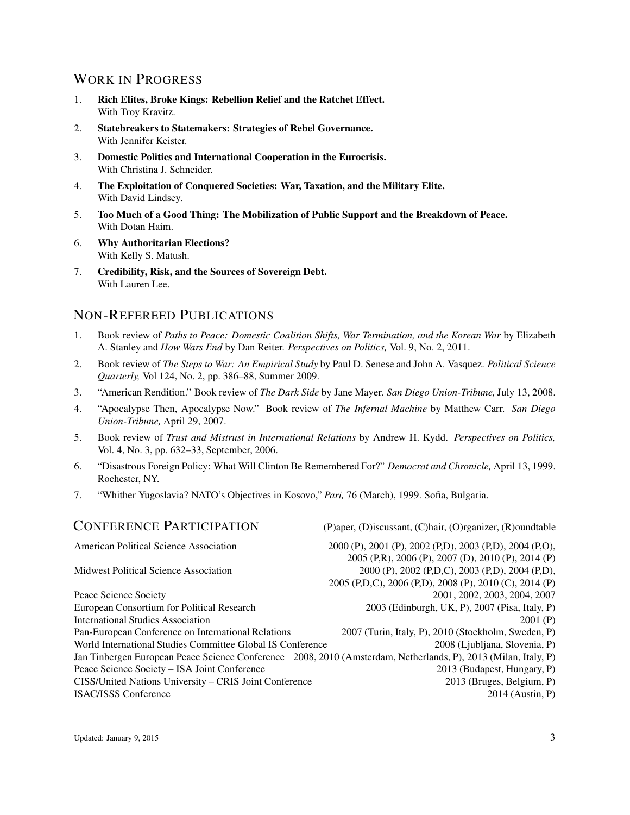# WORK IN PROGRESS

- 1. **Rich Elites, Broke Kings: Rebellion Relief and the Ratchet Effect.** With Troy Kravitz.
- 2. **Statebreakers to Statemakers: Strategies of Rebel Governance.** With Jennifer Keister.
- 3. **Domestic Politics and International Cooperation in the Eurocrisis.** With Christina J. Schneider.
- 4. **The Exploitation of Conquered Societies: War, Taxation, and the Military Elite.** With David Lindsey.
- 5. **Too Much of a Good Thing: The Mobilization of Public Support and the Breakdown of Peace.** With Dotan Haim.
- 6. **Why Authoritarian Elections?** With Kelly S. Matush.
- 7. **Credibility, Risk, and the Sources of Sovereign Debt.** With Lauren Lee.

# NON-REFEREED PUBLICATIONS

- 1. Book review of *Paths to Peace: Domestic Coalition Shifts, War Termination, and the Korean War* by Elizabeth A. Stanley and *How Wars End* by Dan Reiter. *Perspectives on Politics,* Vol. 9, No. 2, 2011.
- 2. Book review of *The Steps to War: An Empirical Study* by Paul D. Senese and John A. Vasquez. *Political Science Quarterly,* Vol 124, No. 2, pp. 386–88, Summer 2009.
- 3. "American Rendition." Book review of *The Dark Side* by Jane Mayer. *San Diego Union-Tribune,* July 13, 2008.
- 4. "Apocalypse Then, Apocalypse Now." Book review of *The Infernal Machine* by Matthew Carr. *San Diego Union-Tribune,* April 29, 2007.
- 5. Book review of *Trust and Mistrust in International Relations* by Andrew H. Kydd. *Perspectives on Politics,* Vol. 4, No. 3, pp. 632–33, September, 2006.
- 6. "Disastrous Foreign Policy: What Will Clinton Be Remembered For?" *Democrat and Chronicle,* April 13, 1999. Rochester, NY.
- 7. "Whither Yugoslavia? NATO's Objectives in Kosovo," *Pari,* 76 (March), 1999. Sofia, Bulgaria.

| <b>CONFERENCE PARTICIPATION</b>                            | (P)aper, (D)iscussant, (C)hair, (O)rganizer, (R)oundtable                                                      |
|------------------------------------------------------------|----------------------------------------------------------------------------------------------------------------|
| American Political Science Association                     | 2000 (P), 2001 (P), 2002 (P,D), 2003 (P,D), 2004 (P,O),                                                        |
|                                                            | 2005 (P,R), 2006 (P), 2007 (D), 2010 (P), 2014 (P)                                                             |
| <b>Midwest Political Science Association</b>               | 2000 (P), 2002 (P,D,C), 2003 (P,D), 2004 (P,D),                                                                |
|                                                            | 2005 (P,D,C), 2006 (P,D), 2008 (P), 2010 (C), 2014 (P)                                                         |
| Peace Science Society                                      | 2001, 2002, 2003, 2004, 2007                                                                                   |
| European Consortium for Political Research                 | 2003 (Edinburgh, UK, P), 2007 (Pisa, Italy, P)                                                                 |
| <b>International Studies Association</b>                   | 2001(P)                                                                                                        |
| Pan-European Conference on International Relations         | 2007 (Turin, Italy, P), 2010 (Stockholm, Sweden, P)                                                            |
| World International Studies Committee Global IS Conference | 2008 (Ljubljana, Slovenia, P)                                                                                  |
|                                                            | Jan Tinbergen European Peace Science Conference 2008, 2010 (Amsterdam, Netherlands, P), 2013 (Milan, Italy, P) |
| Peace Science Society - ISA Joint Conference               | 2013 (Budapest, Hungary, P)                                                                                    |
| CISS/United Nations University - CRIS Joint Conference     | 2013 (Bruges, Belgium, P)                                                                                      |
| <b>ISAC/ISSS Conference</b>                                | 2014 (Austin, P)                                                                                               |
|                                                            |                                                                                                                |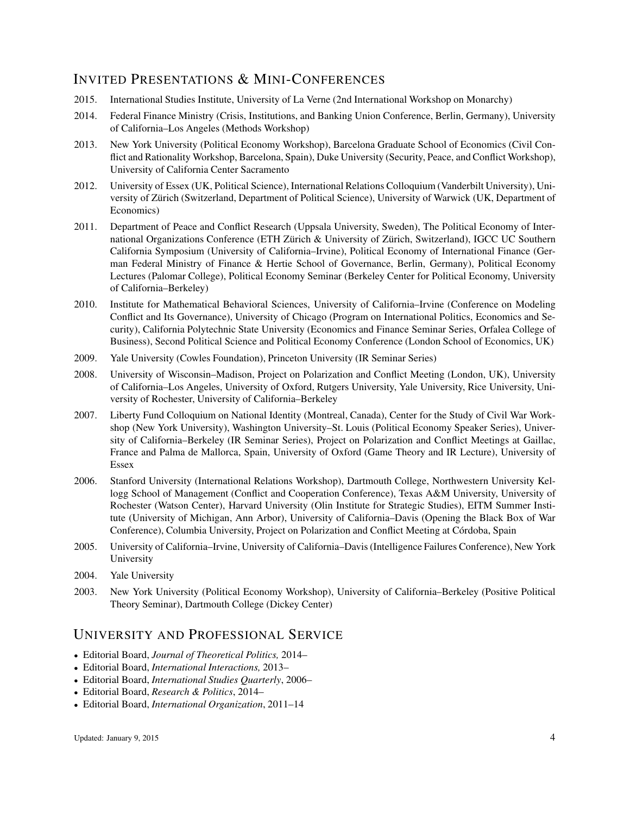# INVITED PRESENTATIONS & MINI-CONFERENCES

- 2015. International Studies Institute, University of La Verne (2nd International Workshop on Monarchy)
- 2014. Federal Finance Ministry (Crisis, Institutions, and Banking Union Conference, Berlin, Germany), University of California–Los Angeles (Methods Workshop)
- 2013. New York University (Political Economy Workshop), Barcelona Graduate School of Economics (Civil Conflict and Rationality Workshop, Barcelona, Spain), Duke University (Security, Peace, and Conflict Workshop), University of California Center Sacramento
- 2012. University of Essex (UK, Political Science), International Relations Colloquium (Vanderbilt University), University of Zürich (Switzerland, Department of Political Science), University of Warwick (UK, Department of Economics)
- 2011. Department of Peace and Conflict Research (Uppsala University, Sweden), The Political Economy of International Organizations Conference (ETH Zürich & University of Zürich, Switzerland), IGCC UC Southern California Symposium (University of California–Irvine), Political Economy of International Finance (German Federal Ministry of Finance & Hertie School of Governance, Berlin, Germany), Political Economy Lectures (Palomar College), Political Economy Seminar (Berkeley Center for Political Economy, University of California–Berkeley)
- 2010. Institute for Mathematical Behavioral Sciences, University of California–Irvine (Conference on Modeling Conflict and Its Governance), University of Chicago (Program on International Politics, Economics and Security), California Polytechnic State University (Economics and Finance Seminar Series, Orfalea College of Business), Second Political Science and Political Economy Conference (London School of Economics, UK)
- 2009. Yale University (Cowles Foundation), Princeton University (IR Seminar Series)
- 2008. University of Wisconsin–Madison, Project on Polarization and Conflict Meeting (London, UK), University of California–Los Angeles, University of Oxford, Rutgers University, Yale University, Rice University, University of Rochester, University of California–Berkeley
- 2007. Liberty Fund Colloquium on National Identity (Montreal, Canada), Center for the Study of Civil War Workshop (New York University), Washington University–St. Louis (Political Economy Speaker Series), University of California–Berkeley (IR Seminar Series), Project on Polarization and Conflict Meetings at Gaillac, France and Palma de Mallorca, Spain, University of Oxford (Game Theory and IR Lecture), University of Essex
- 2006. Stanford University (International Relations Workshop), Dartmouth College, Northwestern University Kellogg School of Management (Conflict and Cooperation Conference), Texas A&M University, University of Rochester (Watson Center), Harvard University (Olin Institute for Strategic Studies), EITM Summer Institute (University of Michigan, Ann Arbor), University of California–Davis (Opening the Black Box of War Conference), Columbia University, Project on Polarization and Conflict Meeting at Córdoba, Spain
- 2005. University of California–Irvine, University of California–Davis (Intelligence Failures Conference), New York University
- 2004. Yale University
- 2003. New York University (Political Economy Workshop), University of California–Berkeley (Positive Political Theory Seminar), Dartmouth College (Dickey Center)

#### UNIVERSITY AND PROFESSIONAL SERVICE

- Editorial Board, *Journal of Theoretical Politics,* 2014–
- Editorial Board, *International Interactions,* 2013–
- Editorial Board, *International Studies Quarterly*, 2006–
- Editorial Board, *Research & Politics*, 2014–
- Editorial Board, *International Organization*, 2011–14